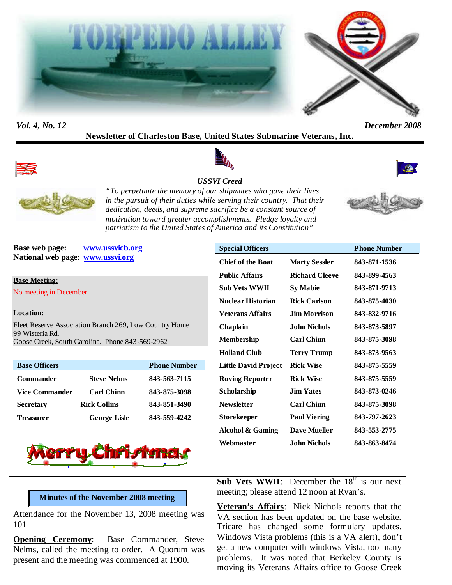



### *Vol. 4, No. 12 December 2008*

# **Newsletter of Charleston Base, United States Submarine Veterans, Inc.**



## *USSVI Creed*







*"To perpetuate the memory of our shipmates who gave their lives in the pursuit of their duties while serving their country. That their dedication, deeds, and supreme sacrifice be a constant source of motivation toward greater accomplishments. Pledge loyalty and patriotism to the United States of America and its Constitution"*



**Base web page: www.ussvicb.org National web page: www.ussvi.org**

#### **Base Meeting:**

No meeting in December

#### **Location:**

Fleet Reserve Association Branch 269, Low Country Home 99 Wisteria Rd. Goose Creek, South Carolina. Phone 843-569-2962

| <b>Base Officers</b>  |                     | <b>Phone Number</b> |
|-----------------------|---------------------|---------------------|
| <b>Commander</b>      | <b>Steve Nelms</b>  | 843-563-7115        |
| <b>Vice Commander</b> | <b>Carl Chinn</b>   | 843-875-3098        |
| <b>Secretary</b>      | <b>Rick Collins</b> | 843-851-3490        |
| <b>Treasurer</b>      | <b>George Lisle</b> | 843-559-4242        |



| <b>Special Officers</b>  |                       | <b>Phone Number</b> |
|--------------------------|-----------------------|---------------------|
| <b>Chief of the Boat</b> | <b>Marty Sessler</b>  | 843-871-1536        |
| <b>Public Affairs</b>    | <b>Richard Cleeve</b> | 843-899-4563        |
| Sub Vets WWII            | <b>Sy Mabie</b>       | 843-871-9713        |
| <b>Nuclear Historian</b> | <b>Rick Carlson</b>   | 843-875-4030        |
| Veterans Affairs         | Jim Morrison.         | 843-832-9716        |
| Chaplain                 | .Iohn Nichols         | 843-873-5897        |
| <b>Membership</b>        | <b>Carl Chinn</b>     | 843-875-3098        |
| <b>Holland Club</b>      | <b>Terry Trump</b>    | 843-873-9563        |
| Little David Project     | <b>Rick Wise</b>      | 843-875-5559        |
| <b>Roving Reporter</b>   | <b>Rick Wise</b>      | 843-875-5559        |
| Scholarship              | <b>Jim Yates</b>      | 843-873-0246        |
| <b>Newsletter</b>        | <b>Carl Chinn</b>     | 843-875-3098        |
| Storekeeper              | <b>Paul Viering</b>   | 843-797-2623        |
| Alcohol & Gaming         | <b>Dave Mueller</b>   | 843-553-2775        |
| Webmaster                | John Nichols          | 843-863-8474        |

### **Minutes of the November 2008 meeting**

Attendance for the November 13, 2008 meeting was 101

**Opening Ceremony:** Base Commander, Steve Nelms, called the meeting to order. A Quorum was present and the meeting was commenced at 1900.

**Sub Vets WWII**: December the 18<sup>th</sup> is our next meeting; please attend 12 noon at Ryan's.

**Veteran's Affairs**: Nick Nichols reports that the VA section has been updated on the base website. Tricare has changed some formulary updates. Windows Vista problems (this is a VA alert), don't get a new computer with windows Vista, too many problems. It was noted that Berkeley County is moving its Veterans Affairs office to Goose Creek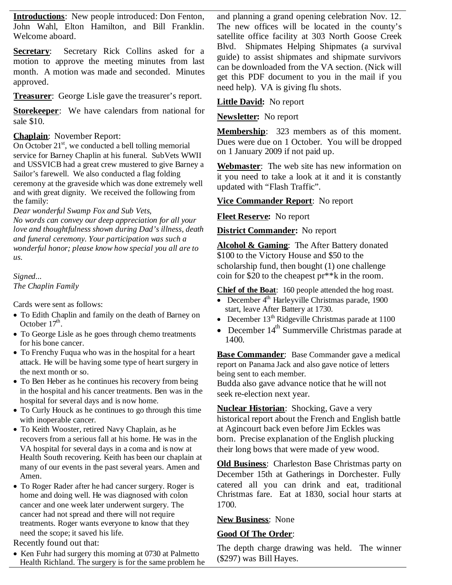**Introductions**: New people introduced: Don Fenton, John Wahl, Elton Hamilton, and Bill Franklin. Welcome aboard.

**Secretary**: Secretary Rick Collins asked for a motion to approve the meeting minutes from last month. A motion was made and seconded. Minutes approved.

**Treasurer**: George Lisle gave the treasurer's report.

**Storekeeper**: We have calendars from national for sale \$10.

### **Chaplain**: November Report:

On October  $21<sup>st</sup>$ , we conducted a bell tolling memorial service for Barney Chaplin at his funeral. SubVets WWII and USSVICB had a great crew mustered to give Barney a Sailor's farewell. We also conducted a flag folding ceremony at the graveside which was done extremely well and with great dignity. We received the following from the family:

#### *Dear wonderful Swamp Fox and Sub Vets,*

*No words can convey our deep appreciation for all your love and thoughtfulness shown during Dad's illness, death and funeral ceremony. Your participation was such a wonderful honor; please know how special you all are to us.*

*Signed... The Chaplin Family*

Cards were sent as follows:

- To Edith Chaplin and family on the death of Barney on October  $17^{\text{th}}$ .
- To George Lisle as he goes through chemo treatments for his bone cancer.
- To Frenchy Fuqua who was in the hospital for a heart attack. He will be having some type of heart surgery in the next month or so.
- To Ben Heber as he continues his recovery from being in the hospital and his cancer treatments. Ben was in the hospital for several days and is now home.
- To Curly Houck as he continues to go through this time with inoperable cancer.
- To Keith Wooster, retired Navy Chaplain, as he recovers from a serious fall at his home. He was in the VA hospital for several days in a coma and is now at Health South recovering. Keith has been our chaplain at many of our events in the past several years. Amen and Amen.
- To Roger Rader after he had cancer surgery. Roger is home and doing well. He was diagnosed with colon cancer and one week later underwent surgery. The cancer had not spread and there will not require treatments. Roger wants everyone to know that they need the scope; it saved his life.

Recently found out that:

• Ken Fuhr had surgery this morning at 0730 at Palmetto Health Richland. The surgery is for the same problem he

and planning a grand opening celebration Nov. 12. The new offices will be located in the county's satellite office facility at 303 North Goose Creek Blvd. Shipmates Helping Shipmates (a survival guide) to assist shipmates and shipmate survivors can be downloaded from the VA section. (Nick will get this PDF document to you in the mail if you need help). VA is giving flu shots.

### **Little David:** No report

**Newsletter:** No report

**Membership**: 323 members as of this moment. Dues were due on 1 October. You will be dropped on 1 January 2009 if not paid up.

**Webmaster**: The web site has new information on it you need to take a look at it and it is constantly updated with "Flash Traffic".

## **Vice Commander Report**: No report

#### **Fleet Reserve:** No report

**District Commander:** No report

**Alcohol & Gaming**: The After Battery donated \$100 to the Victory House and \$50 to the scholarship fund, then bought (1) one challenge coin for \$20 to the cheapest pr\*\*k in the room.

**Chief of the Boat**: 160 people attended the hog roast.

- December  $4<sup>th</sup>$  Harleyville Christmas parade, 1900 start, leave After Battery at 1730.
- December  $13<sup>th</sup>$  Ridgeville Christmas parade at 1100
- December  $14<sup>th</sup>$  Summerville Christmas parade at 1400.

**Base Commander**: Base Commander gave a medical report on Panama Jack and also gave notice of letters being sent to each member. Budda also gave advance notice that he will not

seek re-election next year.

**Nuclear Historian**: Shocking, Gave a very historical report about the French and English battle at Agincourt back even before Jim Eckles was born. Precise explanation of the English plucking their long bows that were made of yew wood.

**Old Business**: Charleston Base Christmas party on December 15th at Gatherings in Dorchester. Fully catered all you can drink and eat, traditional Christmas fare. Eat at 1830, social hour starts at 1700.

## **New Business**: None

#### **Good Of The Order**:

The depth charge drawing was held. The winner (\$297) was Bill Hayes.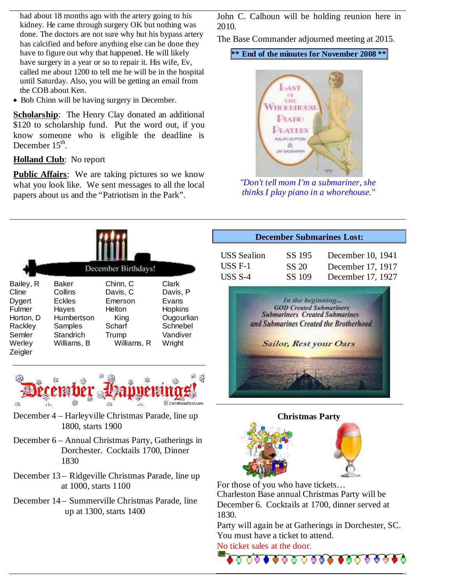had about 18 months ago with the artery going to his kidney. He came through surgery OK but nothing was done. The doctors are not sure why but his bypass artery has calcified and before anything else can be done they have to figure out why that happened. He will likely have surgery in a year or so to repair it. His wife, Ev, called me about 1200 to tell me he will be in the hospital until Saturday. Also, you will be getting an email from the COB about Ken.

• Bob Chinn will be having surgery in December.

**Scholarship**: The Henry Clay donated an additional \$120 to scholarship fund. Put the word out, if you know someone who is eligible the deadline is December  $15^{\text{th}}$ .

## **Holland Club**: No report

**Public Affairs**: We are taking pictures so we know what you look like. We sent messages to all the local papers about us and the "Patriotism in the Park".

John C. Calhoun will be holding reunion here in 2010.

The Base Commander adjourned meeting at 2015.

**\*\* End of the minutes for November 2008 \*\***



*"Don't tell mom I'm a submariner, she thinks I play piano in a whorehouse."*

**December Submarines Lost:**

| December Birthdays!                                                                           |                                                                                                 |                                                                                     |                                                                                       |  |
|-----------------------------------------------------------------------------------------------|-------------------------------------------------------------------------------------------------|-------------------------------------------------------------------------------------|---------------------------------------------------------------------------------------|--|
| Bailey, R<br>Cline<br>Dygert<br>Fulmer<br>Horton. D<br>Rackley<br>Semler<br>Werley<br>Zeigler | Baker<br>Collins<br><b>Eckles</b><br>Hayes<br>Humbertson<br>Samples<br>Standrich<br>Williams, B | Chinn, C<br>Davis, C<br>Emerson<br>Helton<br>King<br>Scharf<br>Trump<br>Williams, R | Clark<br>Davis, P<br>Evans<br>Hopkins<br>Ougourlian<br>Schnebel<br>Vandiver<br>Wright |  |



- December 4 Harleyville Christmas Parade, line up 1800, starts 1900
- December 6 Annual Christmas Party, Gatherings in Dorchester. Cocktails 1700, Dinner 1830
- December 13 Ridgeville Christmas Parade, line up at 1000, starts 1100
- December 14 Summerville Christmas Parade, line up at 1300, starts 1400







For those of you who have tickets… Charleston Base annual Christmas Party will be December 6. Cocktails at 1700, dinner served at 1830.

Party will again be at Gatherings in Dorchester, SC. You must have a ticket to attend.

No ticket sales at the door.

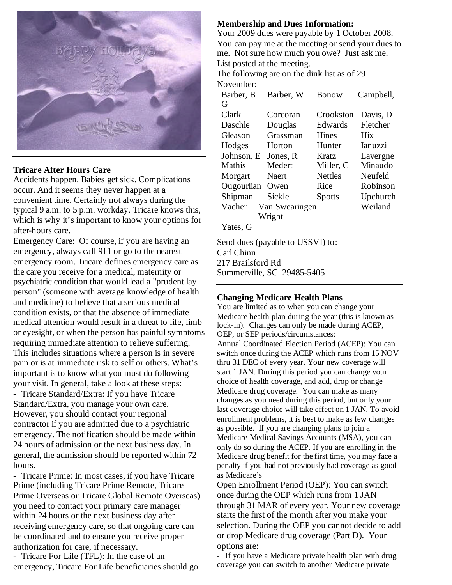

## **Tricare After Hours Care**

Accidents happen. Babies get sick. Complications occur. And it seems they never happen at a convenient time. Certainly not always during the typical 9 a.m. to 5 p.m. workday. Tricare knows this, which is why it's important to know your options for after-hours care.

Emergency Care: Of course, if you are having an emergency, always call 911 or go to the nearest emergency room. Tricare defines emergency care as the care you receive for a medical, maternity or psychiatric condition that would lead a "prudent lay person" (someone with average knowledge of health and medicine) to believe that a serious medical condition exists, or that the absence of immediate medical attention would result in a threat to life, limb or eyesight, or when the person has painful symptoms requiring immediate attention to relieve suffering. This includes situations where a person is in severe pain or is at immediate risk to self or others. What's important is to know what you must do following your visit. In general, take a look at these steps: - Tricare Standard/Extra: If you have Tricare Standard/Extra, you manage your own care. However, you should contact your regional contractor if you are admitted due to a psychiatric emergency. The notification should be made within 24 hours of admission or the next business day. In general, the admission should be reported within 72 hours.

- Tricare Prime: In most cases, if you have Tricare Prime (including Tricare Prime Remote, Tricare Prime Overseas or Tricare Global Remote Overseas) you need to contact your primary care manager within 24 hours or the next business day after receiving emergency care, so that ongoing care can be coordinated and to ensure you receive proper authorization for care, if necessary.

- Tricare For Life (TFL): In the case of an emergency, Tricare For Life beneficiaries should go

## **Membership and Dues Information:**

Your 2009 dues were payable by 1 October 2008. You can pay me at the meeting or send your dues to me. Not sure how much you owe? Just ask me. List posted at the meeting.

The following are on the dink list as of 29 November:

| Barber, B        | Barber, W      | Bonow          | Campbell,   |
|------------------|----------------|----------------|-------------|
| G                |                |                |             |
| Clark            | Corcoran       | Crookston      | Davis, D    |
| Daschle          | Douglas        | Edwards        | Fletcher    |
| Gleason          | Grassman       | <b>Hines</b>   | <b>H</b> ix |
| Hodges           | Horton         | Hunter         | Ianuzzi     |
| Johnson, E       | Jones, R       | Kratz          | Lavergne    |
| Mathis           | Medert         | Miller, C      | Minaudo     |
| Morgart          | Naert          | <b>Nettles</b> | Neufeld     |
| Ougourlian       | Owen           | Rice           | Robinson    |
| Shipman          | Sickle         | <b>Spotts</b>  | Upchurch    |
| Vacher           | Van Swearingen |                | Weiland     |
|                  | Wright         |                |             |
| $V_{obs}$ $\sim$ |                |                |             |

Yates, G

Send dues (payable to USSVI) to: Carl Chinn 217 Brailsford Rd Summerville, SC 29485-5405

## **Changing Medicare Health Plans**

You are limited as to when you can change your Medicare health plan during the year (this is known as lock-in). Changes can only be made during ACEP, OEP, or SEP periods/circumstances: Annual Coordinated Election Period (ACEP): You can switch once during the ACEP which runs from 15 NOV thru 31 DEC of every year. Your new coverage will start 1 JAN. During this period you can change your choice of health coverage, and add, drop or change Medicare drug coverage. You can make as many changes as you need during this period, but only your last coverage choice will take effect on 1 JAN. To avoid enrollment problems, it is best to make as few changes as possible. If you are changing plans to join a Medicare Medical Savings Accounts (MSA), you can only do so during the ACEP. If you are enrolling in the Medicare drug benefit for the first time, you may face a penalty if you had not previously had coverage as good as Medicare's

Open Enrollment Period (OEP): You can switch once during the OEP which runs from 1 JAN through 31 MAR of every year. Your new coverage starts the first of the month after you make your selection. During the OEP you cannot decide to add or drop Medicare drug coverage (Part D). Your options are:

- If you have a Medicare private health plan with drug coverage you can switch to another Medicare private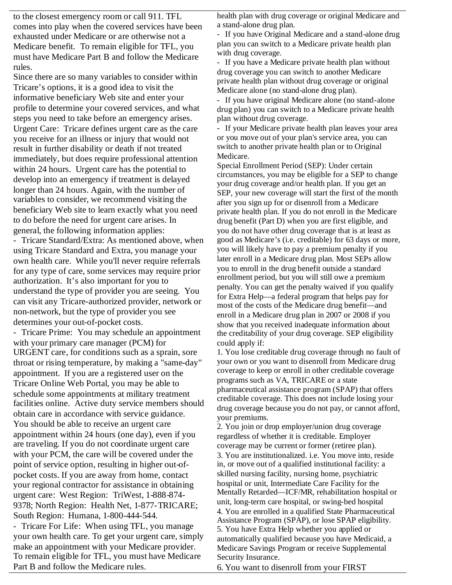to the closest emergency room or call 911. TFL comes into play when the covered services have been exhausted under Medicare or are otherwise not a Medicare benefit. To remain eligible for TFL, you must have Medicare Part B and follow the Medicare rules.

Since there are so many variables to consider within Tricare's options, it is a good idea to visit the informative beneficiary Web site and enter your profile to determine your covered services, and what steps you need to take before an emergency arises. Urgent Care: Tricare defines urgent care as the care you receive for an illness or injury that would not result in further disability or death if not treated immediately, but does require professional attention within 24 hours. Urgent care has the potential to develop into an emergency if treatment is delayed longer than 24 hours. Again, with the number of variables to consider, we recommend visiting the beneficiary Web site to learn exactly what you need to do before the need for urgent care arises. In general, the following information applies:

- Tricare Standard/Extra: As mentioned above, when using Tricare Standard and Extra, you manage your own health care. While you'll never require referrals for any type of care, some services may require prior authorization. It's also important for you to understand the type of provider you are seeing. You can visit any Tricare-authorized provider, network or non-network, but the type of provider you see determines your out-of-pocket costs.

- Tricare Prime: You may schedule an appointment with your primary care manager (PCM) for URGENT care, for conditions such as a sprain, sore throat or rising temperature, by making a "same-day" appointment. If you are a registered user on the Tricare Online Web Portal, you may be able to schedule some appointments at military treatment facilities online. Active duty service members should obtain care in accordance with service guidance. You should be able to receive an urgent care appointment within 24 hours (one day), even if you are traveling. If you do not coordinate urgent care with your PCM, the care will be covered under the point of service option, resulting in higher out-ofpocket costs. If you are away from home, contact your regional contractor for assistance in obtaining urgent care: West Region: TriWest, 1-888-874- 9378; North Region: Health Net, 1-877-TRICARE; South Region: Humana, 1-800-444-544.

- Tricare For Life: When using TFL, you manage your own health care. To get your urgent care, simply make an appointment with your Medicare provider. To remain eligible for TFL, you must have Medicare Part B and follow the Medicare rules.

health plan with drug coverage or original Medicare and a stand-alone drug plan.

- If you have Original Medicare and a stand-alone drug plan you can switch to a Medicare private health plan with drug coverage.

- If you have a Medicare private health plan without drug coverage you can switch to another Medicare private health plan without drug coverage or original Medicare alone (no stand-alone drug plan).

- If you have original Medicare alone (no stand-alone drug plan) you can switch to a Medicare private health plan without drug coverage.

- If your Medicare private health plan leaves your area or you move out of your plan's service area, you can switch to another private health plan or to Original Medicare.

Special Enrollment Period (SEP): Under certain circumstances, you may be eligible for a SEP to change your drug coverage and/or health plan. If you get an SEP, your new coverage will start the first of the month after you sign up for or disenroll from a Medicare private health plan. If you do not enroll in the Medicare drug benefit (Part D) when you are first eligible, and you do not have other drug coverage that is at least as good as Medicare's (i.e. creditable) for 63 days or more, you will likely have to pay a premium penalty if you later enroll in a Medicare drug plan. Most SEPs allow you to enroll in the drug benefit outside a standard enrollment period, but you will still owe a premium penalty. You can get the penalty waived if you qualify for Extra Help—a federal program that helps pay for most of the costs of the Medicare drug benefit—and enroll in a Medicare drug plan in 2007 or 2008 if you show that you received inadequate information about the creditability of your drug coverage. SEP eligibility could apply if:

1. You lose creditable drug coverage through no fault of your own or you want to disenroll from Medicare drug coverage to keep or enroll in other creditable coverage programs such as VA, TRICARE or a state pharmaceutical assistance program (SPAP) that offers creditable coverage. This does not include losing your drug coverage because you do not pay, or cannot afford, your premiums.

2. You join or drop employer/union drug coverage regardless of whether it is creditable. Employer coverage may be current or former (retiree plan). 3. You are institutionalized. i.e. You move into, reside in, or move out of a qualified institutional facility: a skilled nursing facility, nursing home, psychiatric hospital or unit, Intermediate Care Facility for the Mentally Retarded—ICF/MR, rehabilitation hospital or unit, long-term care hospital, or swing-bed hospital 4. You are enrolled in a qualified State Pharmaceutical Assistance Program (SPAP), or lose SPAP eligibility. 5. You have Extra Help whether you applied or automatically qualified because you have Medicaid, a Medicare Savings Program or receive Supplemental Security Insurance.

6. You want to disenroll from your FIRST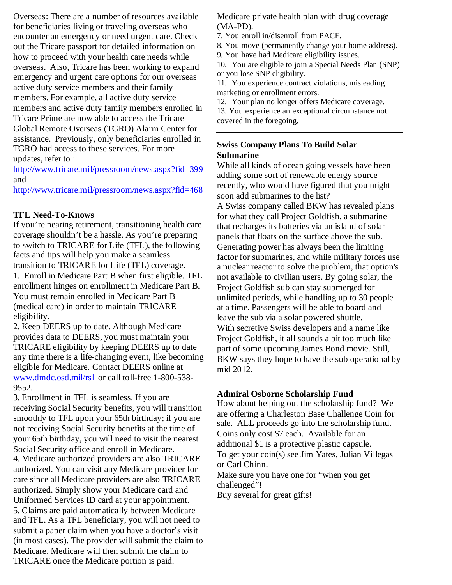Overseas: There are a number of resources available for beneficiaries living or traveling overseas who encounter an emergency or need urgent care. Check out the Tricare passport for detailed information on how to proceed with your health care needs while overseas. Also, Tricare has been working to expand emergency and urgent care options for our overseas active duty service members and their family members. For example, all active duty service members and active duty family members enrolled in Tricare Prime are now able to access the Tricare Global Remote Overseas (TGRO) Alarm Center for assistance. Previously, only beneficiaries enrolled in TGRO had access to these services. For more updates, refer to :

http://www.tricare.mil/pressroom/news.aspx?fid=399 and

http://www.tricare.mil/pressroom/news.aspx?fid=468

## **TFL Need-To-Knows**

If you're nearing retirement, transitioning health care coverage shouldn't be a hassle. As you're preparing to switch to TRICARE for Life (TFL), the following facts and tips will help you make a seamless transition to TRICARE for Life (TFL) coverage. 1. Enroll in Medicare Part B when first eligible. TFL enrollment hinges on enrollment in Medicare Part B. You must remain enrolled in Medicare Part B (medical care) in order to maintain TRICARE eligibility.

2. Keep DEERS up to date. Although Medicare provides data to DEERS, you must maintain your TRICARE eligibility by keeping DEERS up to date any time there is a life-changing event, like becoming eligible for Medicare. Contact DEERS online at www.dmdc.osd.mil/rsl or call toll-free 1-800-538- 9552.

3. Enrollment in TFL is seamless. If you are receiving Social Security benefits, you will transition smoothly to TFL upon your 65th birthday; if you are not receiving Social Security benefits at the time of your 65th birthday, you will need to visit the nearest Social Security office and enroll in Medicare. 4. Medicare authorized providers are also TRICARE authorized. You can visit any Medicare provider for care since all Medicare providers are also TRICARE authorized. Simply show your Medicare card and Uniformed Services ID card at your appointment. 5. Claims are paid automatically between Medicare and TFL. As a TFL beneficiary, you will not need to submit a paper claim when you have a doctor's visit (in most cases). The provider will submit the claim to Medicare. Medicare will then submit the claim to TRICARE once the Medicare portion is paid.

Medicare private health plan with drug coverage (MA-PD).

7. You enroll in/disenroll from PACE.

8. You move (permanently change your home address).

9. You have had Medicare eligibility issues.

10. You are eligible to join a Special Needs Plan (SNP) or you lose SNP eligibility.

11. You experience contract violations, misleading marketing or enrollment errors.

12. Your plan no longer offers Medicare coverage.

13. You experience an exceptional circumstance not covered in the foregoing.

## **Swiss Company Plans To Build Solar Submarine**

While all kinds of ocean going vessels have been adding some sort of renewable energy source recently, who would have figured that you might soon add submarines to the list?

A Swiss company called BKW has revealed plans for what they call Project Goldfish, a submarine that recharges its batteries via an island of solar panels that floats on the surface above the sub. Generating power has always been the limiting factor for submarines, and while military forces use a nuclear reactor to solve the problem, that option's not available to civilian users. By going solar, the Project Goldfish sub can stay submerged for unlimited periods, while handling up to 30 people at a time. Passengers will be able to board and leave the sub via a solar powered shuttle. With secretive Swiss developers and a name like Project Goldfish, it all sounds a bit too much like part of some upcoming James Bond movie. Still, BKW says they hope to have the sub operational by mid 2012.

## **Admiral Osborne Scholarship Fund**

How about helping out the scholarship fund? We are offering a Charleston Base Challenge Coin for sale. ALL proceeds go into the scholarship fund. Coins only cost \$7 each. Available for an additional \$1 is a protective plastic capsule. To get your coin(s) see Jim Yates, Julian Villegas or Carl Chinn. Make sure you have one for "when you get challenged"! Buy several for great gifts!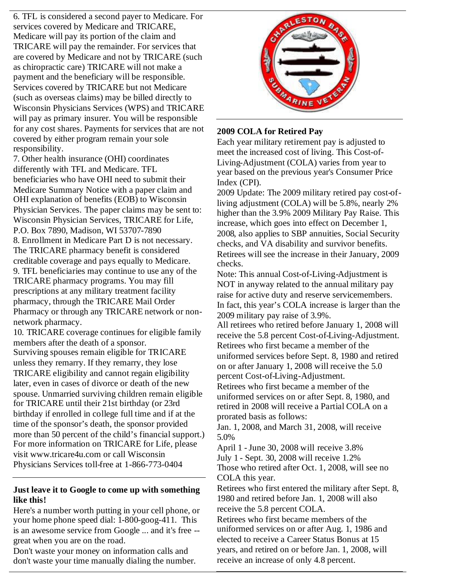6. TFL is considered a second payer to Medicare. For services covered by Medicare and TRICARE, Medicare will pay its portion of the claim and TRICARE will pay the remainder. For services that are covered by Medicare and not by TRICARE (such as chiropractic care) TRICARE will not make a payment and the beneficiary will be responsible. Services covered by TRICARE but not Medicare (such as overseas claims) may be billed directly to Wisconsin Physicians Services (WPS) and TRICARE will pay as primary insurer. You will be responsible for any cost shares. Payments for services that are not covered by either program remain your sole responsibility.

7. Other health insurance (OHI) coordinates differently with TFL and Medicare. TFL beneficiaries who have OHI need to submit their Medicare Summary Notice with a paper claim and OHI explanation of benefits (EOB) to Wisconsin Physician Services. The paper claims may be sent to: Wisconsin Physician Services, TRICARE for Life, P.O. Box 7890, Madison, WI 53707-7890 8. Enrollment in Medicare Part D is not necessary. The TRICARE pharmacy benefit is considered creditable coverage and pays equally to Medicare. 9. TFL beneficiaries may continue to use any of the TRICARE pharmacy programs. You may fill prescriptions at any military treatment facility pharmacy, through the TRICARE Mail Order Pharmacy or through any TRICARE network or nonnetwork pharmacy.

10. TRICARE coverage continues for eligible family members after the death of a sponsor. Surviving spouses remain eligible for TRICARE unless they remarry. If they remarry, they lose TRICARE eligibility and cannot regain eligibility later, even in cases of divorce or death of the new spouse. Unmarried surviving children remain eligible for TRICARE until their 21st birthday (or 23rd birthday if enrolled in college full time and if at the time of the sponsor's death, the sponsor provided more than 50 percent of the child's financial support.) For more information on TRICARE for Life, please visit www.tricare4u.com or call Wisconsin Physicians Services toll-free at 1-866-773-0404

## **Just leave it to Google to come up with something like this!**

Here's a number worth putting in your cell phone, or your home phone speed dial: 1-800-goog-411. This is an awesome service from Google ... and it's free - great when you are on the road.

Don't waste your money on information calls and don't waste your time manually dialing the number.



## **2009 COLA for Retired Pay**

Each year military retirement pay is adjusted to meet the increased cost of living. This Cost-of-Living-Adjustment (COLA) varies from year to year based on the previous year's Consumer Price Index (CPI).

2009 Update: The 2009 military retired pay cost-ofliving adjustment (COLA) will be 5.8%, nearly 2% higher than the 3.9% 2009 Military Pay Raise. This increase, which goes into effect on December 1, 2008, also applies to SBP annuities, Social Security checks, and VA disability and survivor benefits. Retirees will see the increase in their January, 2009 checks.

Note: This annual Cost-of-Living-Adjustment is NOT in anyway related to the annual military pay raise for active duty and reserve servicemembers. In fact, this year's COLA increase is larger than the 2009 military pay raise of 3.9%.

All retirees who retired before January 1, 2008 will receive the 5.8 percent Cost-of-Living-Adjustment. Retirees who first became a member of the uniformed services before Sept. 8, 1980 and retired on or after January 1, 2008 will receive the 5.0 percent Cost-of-Living-Adjustment.

Retirees who first became a member of the uniformed services on or after Sept. 8, 1980, and retired in 2008 will receive a Partial COLA on a prorated basis as follows:

Jan. 1, 2008, and March 31, 2008, will receive 5.0%

April 1 -June 30, 2008 will receive 3.8% July 1 - Sept. 30, 2008 will receive 1.2% Those who retired after Oct. 1, 2008, will see no COLA this year.

Retirees who first entered the military after Sept. 8, 1980 and retired before Jan. 1, 2008 will also receive the 5.8 percent COLA.

Retirees who first became members of the uniformed services on or after Aug. 1, 1986 and elected to receive a Career Status Bonus at 15 years, and retired on or before Jan. 1, 2008, will receive an increase of only 4.8 percent.